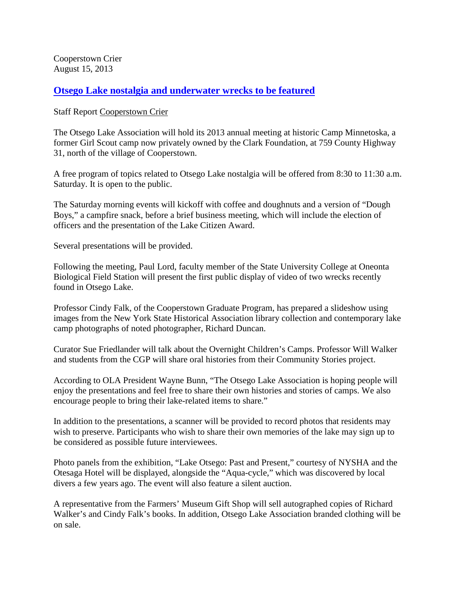Cooperstown Crier August 15, 2013

## **[Otsego Lake nostalgia and underwater wrecks to be featured](http://www.coopercrier.com/localnews/x389854393/Otsego-Lake-nostalgia-and-underwater-wrecks-to-be-featured)**

Staff Report [Cooperstown Crier](http://www.coopercrier.com/)

The Otsego Lake Association will hold its 2013 annual meeting at historic Camp Minnetoska, a former Girl Scout camp now privately owned by the Clark Foundation, at 759 County Highway 31, north of the village of Cooperstown.

A free program of topics related to Otsego Lake nostalgia will be offered from 8:30 to 11:30 a.m. Saturday. It is open to the public.

The Saturday morning events will kickoff with coffee and doughnuts and a version of "Dough Boys," a campfire snack, before a brief business meeting, which will include the election of officers and the presentation of the Lake Citizen Award.

Several presentations will be provided.

Following the meeting, Paul Lord, faculty member of the State University College at Oneonta Biological Field Station will present the first public display of video of two wrecks recently found in Otsego Lake.

Professor Cindy Falk, of the Cooperstown Graduate Program, has prepared a slideshow using images from the New York State Historical Association library collection and contemporary lake camp photographs of noted photographer, Richard Duncan.

Curator Sue Friedlander will talk about the Overnight Children's Camps. Professor Will Walker and students from the CGP will share oral histories from their Community Stories project.

According to OLA President Wayne Bunn, "The Otsego Lake Association is hoping people will enjoy the presentations and feel free to share their own histories and stories of camps. We also encourage people to bring their lake-related items to share."

In addition to the presentations, a scanner will be provided to record photos that residents may wish to preserve. Participants who wish to share their own memories of the lake may sign up to be considered as possible future interviewees.

Photo panels from the exhibition, "Lake Otsego: Past and Present," courtesy of NYSHA and the Otesaga Hotel will be displayed, alongside the "Aqua-cycle," which was discovered by local divers a few years ago. The event will also feature a silent auction.

A representative from the Farmers' Museum Gift Shop will sell autographed copies of Richard Walker's and Cindy Falk's books. In addition, Otsego Lake Association branded clothing will be on sale.